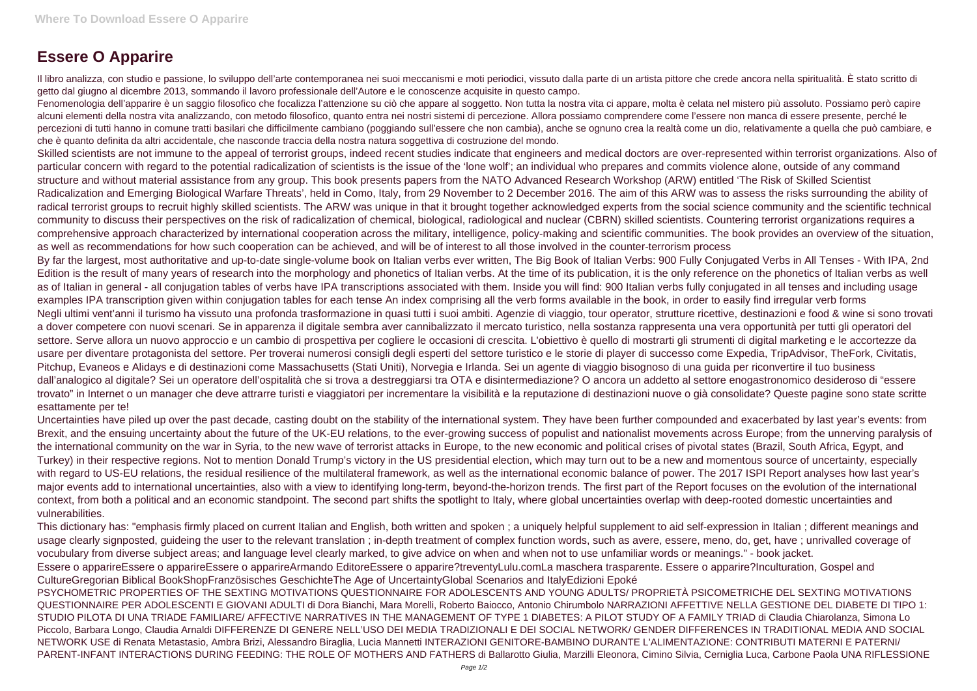## **Essere O Apparire**

Il libro analizza, con studio e passione, lo sviluppo dell'arte contemporanea nei suoi meccanismi e moti periodici, vissuto dalla parte di un artista pittore che crede ancora nella spiritualità. È stato scritto di getto dal giugno al dicembre 2013, sommando il lavoro professionale dell'Autore e le conoscenze acquisite in questo campo.

Fenomenologia dell'apparire è un saggio filosofico che focalizza l'attenzione su ciò che appare al soggetto. Non tutta la nostra vita ci appare, molta è celata nel mistero più assoluto. Possiamo però capire alcuni elementi della nostra vita analizzando, con metodo filosofico, quanto entra nei nostri sistemi di percezione. Allora possiamo comprendere come l'essere non manca di essere presente, perché le percezioni di tutti hanno in comune tratti basilari che difficilmente cambiano (poggiando sull'essere che non cambia), anche se ognuno crea la realtà come un dio, relativamente a quella che può cambiare, e che è quanto definita da altri accidentale, che nasconde traccia della nostra natura soggettiva di costruzione del mondo.

Skilled scientists are not immune to the appeal of terrorist groups, indeed recent studies indicate that engineers and medical doctors are over-represented within terrorist organizations. Also of particular concern with regard to the potential radicalization of scientists is the issue of the 'lone wolf'; an individual who prepares and commits violence alone, outside of any command structure and without material assistance from any group. This book presents papers from the NATO Advanced Research Workshop (ARW) entitled 'The Risk of Skilled Scientist Radicalization and Emerging Biological Warfare Threats', held in Como, Italy, from 29 November to 2 December 2016. The aim of this ARW was to assess the risks surrounding the ability of radical terrorist groups to recruit highly skilled scientists. The ARW was unique in that it brought together acknowledged experts from the social science community and the scientific technical community to discuss their perspectives on the risk of radicalization of chemical, biological, radiological and nuclear (CBRN) skilled scientists. Countering terrorist organizations requires a comprehensive approach characterized by international cooperation across the military, intelligence, policy-making and scientific communities. The book provides an overview of the situation, as well as recommendations for how such cooperation can be achieved, and will be of interest to all those involved in the counter-terrorism process By far the largest, most authoritative and up-to-date single-volume book on Italian verbs ever written, The Big Book of Italian Verbs: 900 Fully Conjugated Verbs in All Tenses - With IPA, 2nd Edition is the result of many years of research into the morphology and phonetics of Italian verbs. At the time of its publication, it is the only reference on the phonetics of Italian verbs as well as of Italian in general - all conjugation tables of verbs have IPA transcriptions associated with them. Inside you will find: 900 Italian verbs fully conjugated in all tenses and including usage examples IPA transcription given within conjugation tables for each tense An index comprising all the verb forms available in the book, in order to easily find irregular verb forms Negli ultimi vent'anni il turismo ha vissuto una profonda trasformazione in quasi tutti i suoi ambiti. Agenzie di viaggio, tour operator, strutture ricettive, destinazioni e food & wine si sono trovati a dover competere con nuovi scenari. Se in apparenza il digitale sembra aver cannibalizzato il mercato turistico, nella sostanza rappresenta una vera opportunità per tutti gli operatori del settore. Serve allora un nuovo approccio e un cambio di prospettiva per cogliere le occasioni di crescita. L'obiettivo è quello di mostrarti gli strumenti di digital marketing e le accortezze da usare per diventare protagonista del settore. Per troverai numerosi consigli degli esperti del settore turistico e le storie di player di successo come Expedia, TripAdvisor, TheFork, Civitatis, Pitchup, Evaneos e Alidays e di destinazioni come Massachusetts (Stati Uniti), Norvegia e Irlanda. Sei un agente di viaggio bisognoso di una guida per riconvertire il tuo business dall'analogico al digitale? Sei un operatore dell'ospitalità che si trova a destreggiarsi tra OTA e disintermediazione? O ancora un addetto al settore enogastronomico desideroso di "essere trovato" in Internet o un manager che deve attrarre turisti e viaggiatori per incrementare la visibilità e la reputazione di destinazioni nuove o già consolidate? Queste pagine sono state scritte esattamente per te!

PSYCHOMETRIC PROPERTIES OF THE SEXTING MOTIVATIONS QUESTIONNAIRE FOR ADOLESCENTS AND YOUNG ADULTS/ PROPRIETÀ PSICOMETRICHE DEL SEXTING MOTIVATIONS QUESTIONNAIRE PER ADOLESCENTI E GIOVANI ADULTI di Dora Bianchi, Mara Morelli, Roberto Baiocco, Antonio Chirumbolo NARRAZIONI AFFETTIVE NELLA GESTIONE DEL DIABETE DI TIPO 1: STUDIO PILOTA DI UNA TRIADE FAMILIARE/ AFFECTIVE NARRATIVES IN THE MANAGEMENT OF TYPE 1 DIABETES: A PILOT STUDY OF A FAMILY TRIAD di Claudia Chiarolanza, Simona Lo Piccolo, Barbara Longo, Claudia Arnaldi DIFFERENZE DI GENERE NELL'USO DEI MEDIA TRADIZIONALI E DEI SOCIAL NETWORK/ GENDER DIFFERENCES IN TRADITIONAL MEDIA AND SOCIAL NETWORK USE di Renata Metastasio, Ambra Brizi, Alessandro Biraglia, Lucia Mannetti INTERAZIONI GENITORE-BAMBINO DURANTE L'ALIMENTAZIONE: CONTRIBUTI MATERNI E PATERNI/ PARENT-INFANT INTERACTIONS DURING FEEDING: THE ROLE OF MOTHERS AND FATHERS di Ballarotto Giulia, Marzilli Eleonora, Cimino Silvia, Cerniglia Luca, Carbone Paola UNA RIFLESSIONE

Uncertainties have piled up over the past decade, casting doubt on the stability of the international system. They have been further compounded and exacerbated by last year's events: from Brexit, and the ensuing uncertainty about the future of the UK-EU relations, to the ever-growing success of populist and nationalist movements across Europe; from the unnerving paralysis of the international community on the war in Syria, to the new wave of terrorist attacks in Europe, to the new economic and political crises of pivotal states (Brazil, South Africa, Egypt, and Turkey) in their respective regions. Not to mention Donald Trump's victory in the US presidential election, which may turn out to be a new and momentous source of uncertainty, especially with regard to US-EU relations, the residual resilience of the multilateral framework, as well as the international economic balance of power. The 2017 ISPI Report analyses how last year's major events add to international uncertainties, also with a view to identifying long-term, beyond-the-horizon trends. The first part of the Report focuses on the evolution of the international context, from both a political and an economic standpoint. The second part shifts the spotlight to Italy, where global uncertainties overlap with deep-rooted domestic uncertainties and vulnerabilities.

This dictionary has: "emphasis firmly placed on current Italian and English, both written and spoken ; a uniquely helpful supplement to aid self-expression in Italian ; different meanings and usage clearly signposted, guideing the user to the relevant translation ; in-depth treatment of complex function words, such as avere, essere, meno, do, get, have ; unrivalled coverage of vocubulary from diverse subject areas; and language level clearly marked, to give advice on when and when not to use unfamiliar words or meanings." - book jacket. Essere o apparireEssere o apparireEssere o apparireArmando EditoreEssere o apparire?treventyLulu.comLa maschera trasparente. Essere o apparire?Inculturation, Gospel and CultureGregorian Biblical BookShopFranzösisches GeschichteThe Age of UncertaintyGlobal Scenarios and ItalyEdizioni Epoké